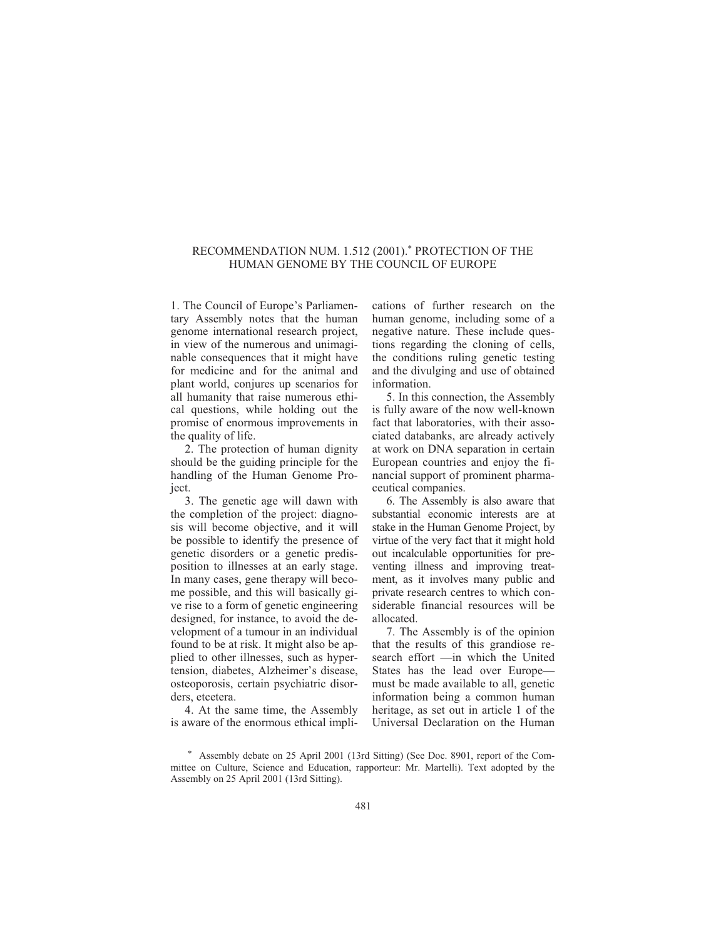## RECOMMENDATION NUM. 1.512 (2001).\* PROTECTION OF THE HUMAN GENOME BY THE COUNCIL OF EUROPE

1. The Council of Europe's Parliamentary Assembly notes that the human genome international research project, in view of the numerous and unimaginable consequences that it might have for medicine and for the animal and plant world, conjures up scenarios for all humanity that raise numerous ethical questions, while holding out the promise of enormous improvements in the quality of life.

2. The protection of human dignity should be the guiding principle for the handling of the Human Genome Project.

3. The genetic age will dawn with the completion of the project: diagnosis will become objective, and it will be possible to identify the presence of genetic disorders or a genetic predisposition to illnesses at an early stage. In many cases, gene therapy will become possible, and this will basically give rise to a form of genetic engineering designed, for instance, to avoid the development of a tumour in an individual found to be at risk. It might also be applied to other illnesses, such as hypertension, diabetes, Alzheimer's disease, osteoporosis, certain psychiatric disorders, etcetera.

4. At the same time, the Assembly is aware of the enormous ethical implications of further research on the human genome, including some of a negative nature. These include questions regarding the cloning of cells, the conditions ruling genetic testing and the divulging and use of obtained information.

5. In this connection, the Assembly is fully aware of the now well-known fact that laboratories, with their associated databanks, are already actively at work on DNA separation in certain European countries and enjoy the financial support of prominent pharmaceutical companies.

6. The Assembly is also aware that substantial economic interests are at stake in the Human Genome Project, by virtue of the very fact that it might hold out incalculable opportunities for preventing illness and improving treatment, as it involves many public and private research centres to which considerable financial resources will be allocated.

7. The Assembly is of the opinion that the results of this grandiose research effort —in which the United States has the lead over Europe must be made available to all, genetic information being a common human heritage, as set out in article 1 of the Universal Declaration on the Human

\* Assembly debate on 25 April 2001 (13rd Sitting) (See Doc. 8901, report of the Committee on Culture, Science and Education, rapporteur: Mr. Martelli). Text adopted by the Assembly on 25 April 2001 (13rd Sitting).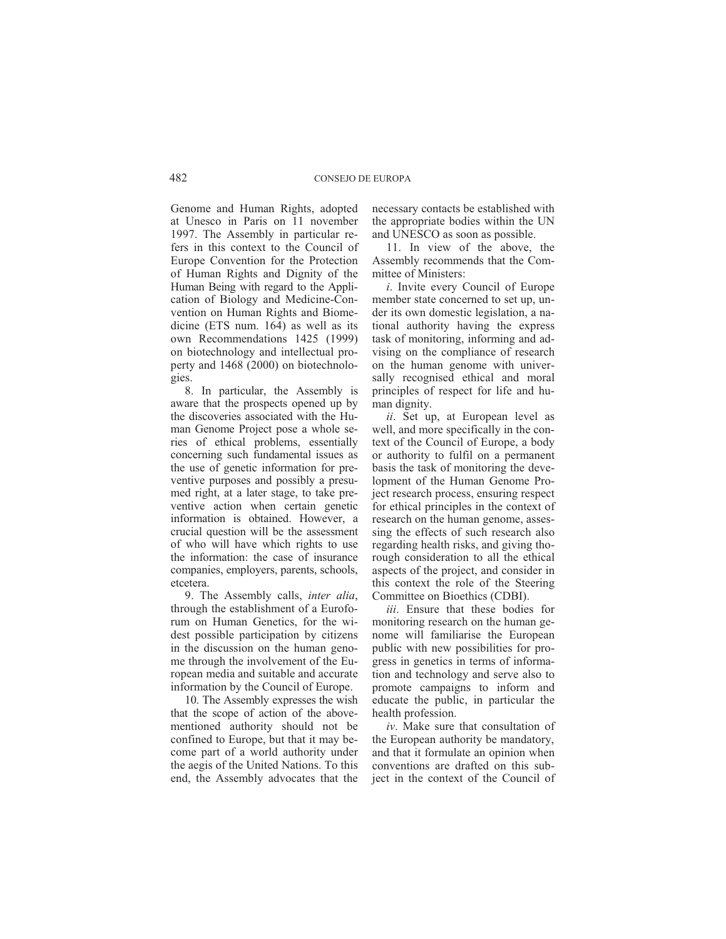Genome and Human Rights, adopted at Unesco in Paris on 11 november 1997. The Assembly in particular refers in this context to the Council of Europe Convention for the Protection of Human Rights and Dignity of the Human Being with regard to the Application of Biology and Medicine-Convention on Human Rights and Biomedicine (ETS num. 164) as well as its own Recommendations 1425 (1999) on biotechnology and intellectual property and 1468 (2000) on biotechnologies.

8. In particular, the Assembly is aware that the prospects opened up by the discoveries associated with the Human Genome Project pose a whole series of ethical problems, essentially concerning such fundamental issues as the use of genetic information for preventive purposes and possibly a presumed right, at a later stage, to take preventive action when certain genetic information is obtained. However, a crucial question will be the assessment of who will have which rights to use the information: the case of insurance companies, employers, parents, schools, etcetera.

9. The Assembly calls, *inter alia*, through the establishment of a Euroforum on Human Genetics, for the widest possible participation by citizens in the discussion on the human genome through the involvement of the European media and suitable and accurate information by the Council of Europe.

10. The Assembly expresses the wish that the scope of action of the abovementioned authority should not be confined to Europe, but that it may become part of a world authority under the aegis of the United Nations. To this end, the Assembly advocates that the necessary contacts be established with the appropriate bodies within the UN and UNESCO as soon as possible.

11. In view of the above, the Assembly recommends that the Committee of Ministers:

*i*. Invite every Council of Europe member state concerned to set up, under its own domestic legislation, a national authority having the express task of monitoring, informing and advising on the compliance of research on the human genome with universally recognised ethical and moral principles of respect for life and human dignity.

*ii*. Set up, at European level as well, and more specifically in the context of the Council of Europe, a body or authority to fulfil on a permanent basis the task of monitoring the development of the Human Genome Project research process, ensuring respect for ethical principles in the context of research on the human genome, assessing the effects of such research also regarding health risks, and giving thorough consideration to all the ethical aspects of the project, and consider in this context the role of the Steering Committee on Bioethics (CDBI).

*iii*. Ensure that these bodies for monitoring research on the human genome will familiarise the European public with new possibilities for progress in genetics in terms of information and technology and serve also to promote campaigns to inform and educate the public, in particular the health profession.

*iv*. Make sure that consultation of the European authority be mandatory, and that it formulate an opinion when conventions are drafted on this subject in the context of the Council of